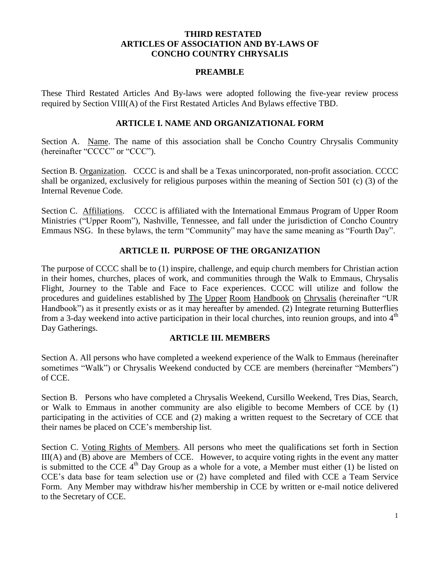### **THIRD RESTATED ARTICLES OF ASSOCIATION AND BY-LAWS OF CONCHO COUNTRY CHRYSALIS**

#### **PREAMBLE**

These Third Restated Articles And By-laws were adopted following the five-year review process required by Section VIII(A) of the First Restated Articles And Bylaws effective TBD.

#### **ARTICLE I. NAME AND ORGANIZATIONAL FORM**

Section A. Name. The name of this association shall be Concho Country Chrysalis Community (hereinafter "CCCC" or "CCC").

Section B. Organization. CCCC is and shall be a Texas unincorporated, non-profit association. CCCC shall be organized, exclusively for religious purposes within the meaning of Section 501 (c) (3) of the Internal Revenue Code.

Section C. Affiliations. CCCC is affiliated with the International Emmaus Program of Upper Room Ministries ("Upper Room"), Nashville, Tennessee, and fall under the jurisdiction of Concho Country Emmaus NSG. In these bylaws, the term "Community" may have the same meaning as "Fourth Day".

### **ARTICLE II. PURPOSE OF THE ORGANIZATION**

The purpose of CCCC shall be to (1) inspire, challenge, and equip church members for Christian action in their homes, churches, places of work, and communities through the Walk to Emmaus, Chrysalis Flight, Journey to the Table and Face to Face experiences. CCCC will utilize and follow the procedures and guidelines established by The Upper Room Handbook on Chrysalis (hereinafter "UR Handbook") as it presently exists or as it may hereafter by amended. (2) Integrate returning Butterflies from a 3-day weekend into active participation in their local churches, into reunion groups, and into  $4<sup>th</sup>$ Day Gatherings.

### **ARTICLE III. MEMBERS**

Section A. All persons who have completed a weekend experience of the Walk to Emmaus (hereinafter sometimes "Walk") or Chrysalis Weekend conducted by CCE are members (hereinafter "Members") of CCE.

Section B. Persons who have completed a Chrysalis Weekend, Cursillo Weekend, Tres Dias, Search, or Walk to Emmaus in another community are also eligible to become Members of CCE by (1) participating in the activities of CCE and (2) making a written request to the Secretary of CCE that their names be placed on CCE's membership list.

Section C. Voting Rights of Members. All persons who meet the qualifications set forth in Section III(A) and (B) above are Members of CCE. However, to acquire voting rights in the event any matter is submitted to the CCE  $4<sup>th</sup>$  Day Group as a whole for a vote, a Member must either (1) be listed on CCE's data base for team selection use or (2) have completed and filed with CCE a Team Service Form. Any Member may withdraw his/her membership in CCE by written or e-mail notice delivered to the Secretary of CCE.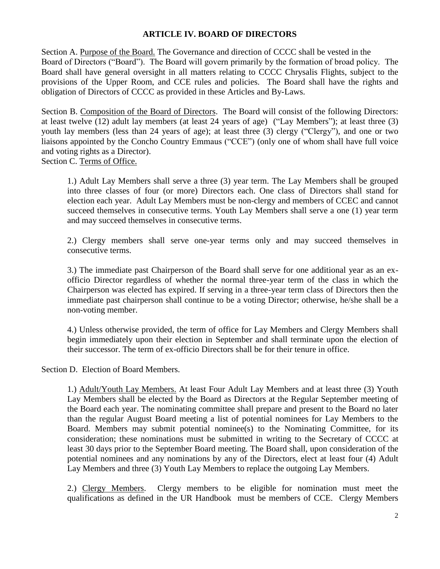# **ARTICLE IV. BOARD OF DIRECTORS**

Section A. Purpose of the Board. The Governance and direction of CCCC shall be vested in the Board of Directors ("Board"). The Board will govern primarily by the formation of broad policy. The Board shall have general oversight in all matters relating to CCCC Chrysalis Flights, subject to the provisions of the Upper Room, and CCE rules and policies. The Board shall have the rights and obligation of Directors of CCCC as provided in these Articles and By-Laws.

Section B. Composition of the Board of Directors. The Board will consist of the following Directors: at least twelve (12) adult lay members (at least 24 years of age) ("Lay Members"); at least three (3) youth lay members (less than 24 years of age); at least three (3) clergy ("Clergy"), and one or two liaisons appointed by the Concho Country Emmaus ("CCE") (only one of whom shall have full voice and voting rights as a Director).

Section C. Terms of Office.

1.) Adult Lay Members shall serve a three (3) year term. The Lay Members shall be grouped into three classes of four (or more) Directors each. One class of Directors shall stand for election each year. Adult Lay Members must be non-clergy and members of CCEC and cannot succeed themselves in consecutive terms. Youth Lay Members shall serve a one (1) year term and may succeed themselves in consecutive terms.

2.) Clergy members shall serve one-year terms only and may succeed themselves in consecutive terms.

3.) The immediate past Chairperson of the Board shall serve for one additional year as an exofficio Director regardless of whether the normal three-year term of the class in which the Chairperson was elected has expired. If serving in a three-year term class of Directors then the immediate past chairperson shall continue to be a voting Director; otherwise, he/she shall be a non-voting member.

4.) Unless otherwise provided, the term of office for Lay Members and Clergy Members shall begin immediately upon their election in September and shall terminate upon the election of their successor. The term of ex-officio Directors shall be for their tenure in office.

Section D. Election of Board Members.

1.) Adult/Youth Lay Members. At least Four Adult Lay Members and at least three (3) Youth Lay Members shall be elected by the Board as Directors at the Regular September meeting of the Board each year. The nominating committee shall prepare and present to the Board no later than the regular August Board meeting a list of potential nominees for Lay Members to the Board. Members may submit potential nominee(s) to the Nominating Committee, for its consideration; these nominations must be submitted in writing to the Secretary of CCCC at least 30 days prior to the September Board meeting. The Board shall, upon consideration of the potential nominees and any nominations by any of the Directors, elect at least four (4) Adult Lay Members and three (3) Youth Lay Members to replace the outgoing Lay Members.

2.) Clergy Members. Clergy members to be eligible for nomination must meet the qualifications as defined in the UR Handbook must be members of CCE. Clergy Members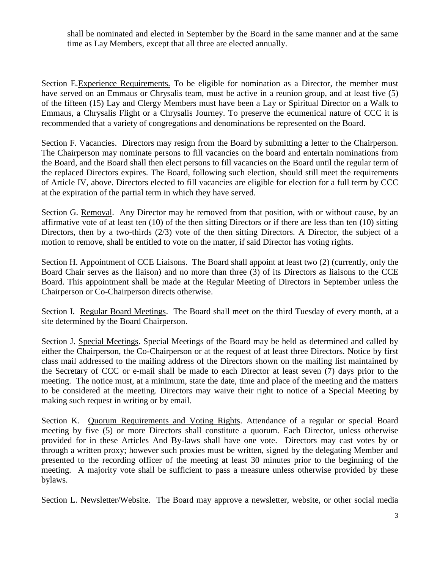shall be nominated and elected in September by the Board in the same manner and at the same time as Lay Members, except that all three are elected annually.

Section E.Experience Requirements. To be eligible for nomination as a Director, the member must have served on an Emmaus or Chrysalis team, must be active in a reunion group, and at least five (5) of the fifteen (15) Lay and Clergy Members must have been a Lay or Spiritual Director on a Walk to Emmaus, a Chrysalis Flight or a Chrysalis Journey. To preserve the ecumenical nature of CCC it is recommended that a variety of congregations and denominations be represented on the Board.

Section F. Vacancies. Directors may resign from the Board by submitting a letter to the Chairperson. The Chairperson may nominate persons to fill vacancies on the board and entertain nominations from the Board, and the Board shall then elect persons to fill vacancies on the Board until the regular term of the replaced Directors expires. The Board, following such election, should still meet the requirements of Article IV, above. Directors elected to fill vacancies are eligible for election for a full term by CCC at the expiration of the partial term in which they have served.

Section G. Removal. Any Director may be removed from that position, with or without cause, by an affirmative vote of at least ten (10) of the then sitting Directors or if there are less than ten (10) sitting Directors, then by a two-thirds (2/3) vote of the then sitting Directors. A Director, the subject of a motion to remove, shall be entitled to vote on the matter, if said Director has voting rights.

Section H. Appointment of CCE Liaisons. The Board shall appoint at least two (2) (currently, only the Board Chair serves as the liaison) and no more than three (3) of its Directors as liaisons to the CCE Board. This appointment shall be made at the Regular Meeting of Directors in September unless the Chairperson or Co-Chairperson directs otherwise.

Section I. Regular Board Meetings. The Board shall meet on the third Tuesday of every month, at a site determined by the Board Chairperson.

Section J. Special Meetings. Special Meetings of the Board may be held as determined and called by either the Chairperson, the Co-Chairperson or at the request of at least three Directors. Notice by first class mail addressed to the mailing address of the Directors shown on the mailing list maintained by the Secretary of CCC or e-mail shall be made to each Director at least seven (7) days prior to the meeting. The notice must, at a minimum, state the date, time and place of the meeting and the matters to be considered at the meeting. Directors may waive their right to notice of a Special Meeting by making such request in writing or by email.

Section K. Quorum Requirements and Voting Rights. Attendance of a regular or special Board meeting by five (5) or more Directors shall constitute a quorum. Each Director, unless otherwise provided for in these Articles And By-laws shall have one vote. Directors may cast votes by or through a written proxy; however such proxies must be written, signed by the delegating Member and presented to the recording officer of the meeting at least 30 minutes prior to the beginning of the meeting. A majority vote shall be sufficient to pass a measure unless otherwise provided by these bylaws.

Section L. Newsletter/Website. The Board may approve a newsletter, website, or other social media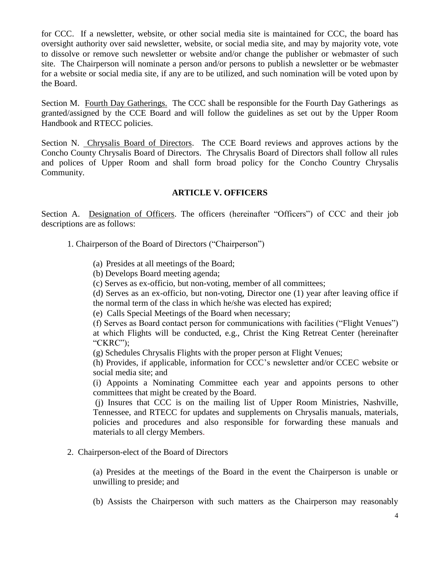for CCC. If a newsletter, website, or other social media site is maintained for CCC, the board has oversight authority over said newsletter, website, or social media site, and may by majority vote, vote to dissolve or remove such newsletter or website and/or change the publisher or webmaster of such site. The Chairperson will nominate a person and/or persons to publish a newsletter or be webmaster for a website or social media site, if any are to be utilized, and such nomination will be voted upon by the Board.

Section M. Fourth Day Gatherings. The CCC shall be responsible for the Fourth Day Gatherings as granted/assigned by the CCE Board and will follow the guidelines as set out by the Upper Room Handbook and RTECC policies.

Section N. Chrysalis Board of Directors. The CCE Board reviews and approves actions by the Concho County Chrysalis Board of Directors. The Chrysalis Board of Directors shall follow all rules and polices of Upper Room and shall form broad policy for the Concho Country Chrysalis Community.

### **ARTICLE V. OFFICERS**

Section A. Designation of Officers. The officers (hereinafter "Officers") of CCC and their job descriptions are as follows:

- 1. Chairperson of the Board of Directors ("Chairperson")
	- (a) Presides at all meetings of the Board;
	- (b) Develops Board meeting agenda;
	- (c) Serves as ex-officio, but non-voting, member of all committees;

(d) Serves as an ex-officio, but non-voting, Director one (1) year after leaving office if the normal term of the class in which he/she was elected has expired;

(e) Calls Special Meetings of the Board when necessary;

(f) Serves as Board contact person for communications with facilities ("Flight Venues") at which Flights will be conducted, e.g., Christ the King Retreat Center (hereinafter "CKRC");

(g) Schedules Chrysalis Flights with the proper person at Flight Venues;

(h) Provides, if applicable, information for CCC's newsletter and/or CCEC website or social media site; and

(i) Appoints a Nominating Committee each year and appoints persons to other committees that might be created by the Board.

(j) Insures that CCC is on the mailing list of Upper Room Ministries, Nashville, Tennessee, and RTECC for updates and supplements on Chrysalis manuals, materials, policies and procedures and also responsible for forwarding these manuals and materials to all clergy Members.

2. Chairperson-elect of the Board of Directors

(a) Presides at the meetings of the Board in the event the Chairperson is unable or unwilling to preside; and

(b) Assists the Chairperson with such matters as the Chairperson may reasonably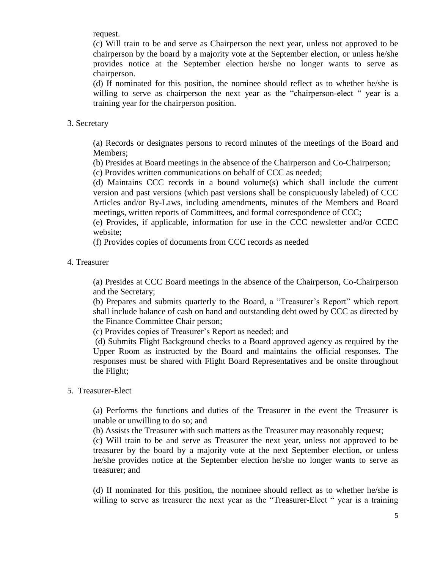request.

(c) Will train to be and serve as Chairperson the next year, unless not approved to be chairperson by the board by a majority vote at the September election, or unless he/she provides notice at the September election he/she no longer wants to serve as chairperson.

(d) If nominated for this position, the nominee should reflect as to whether he/she is willing to serve as chairperson the next year as the "chairperson-elect " year is a training year for the chairperson position.

### 3. Secretary

(a) Records or designates persons to record minutes of the meetings of the Board and Members;

(b) Presides at Board meetings in the absence of the Chairperson and Co-Chairperson;

(c) Provides written communications on behalf of CCC as needed;

(d) Maintains CCC records in a bound volume(s) which shall include the current version and past versions (which past versions shall be conspicuously labeled) of CCC Articles and/or By-Laws, including amendments, minutes of the Members and Board meetings, written reports of Committees, and formal correspondence of CCC;

(e) Provides, if applicable, information for use in the CCC newsletter and/or CCEC website;

(f) Provides copies of documents from CCC records as needed

### 4. Treasurer

(a) Presides at CCC Board meetings in the absence of the Chairperson, Co-Chairperson and the Secretary;

(b) Prepares and submits quarterly to the Board, a "Treasurer's Report" which report shall include balance of cash on hand and outstanding debt owed by CCC as directed by the Finance Committee Chair person;

(c) Provides copies of Treasurer's Report as needed; and

(d) Submits Flight Background checks to a Board approved agency as required by the Upper Room as instructed by the Board and maintains the official responses. The responses must be shared with Flight Board Representatives and be onsite throughout the Flight;

### 5. Treasurer-Elect

(a) Performs the functions and duties of the Treasurer in the event the Treasurer is unable or unwilling to do so; and

(b) Assists the Treasurer with such matters as the Treasurer may reasonably request;

(c) Will train to be and serve as Treasurer the next year, unless not approved to be treasurer by the board by a majority vote at the next September election, or unless he/she provides notice at the September election he/she no longer wants to serve as treasurer; and

(d) If nominated for this position, the nominee should reflect as to whether he/she is willing to serve as treasurer the next year as the "Treasurer-Elect " year is a training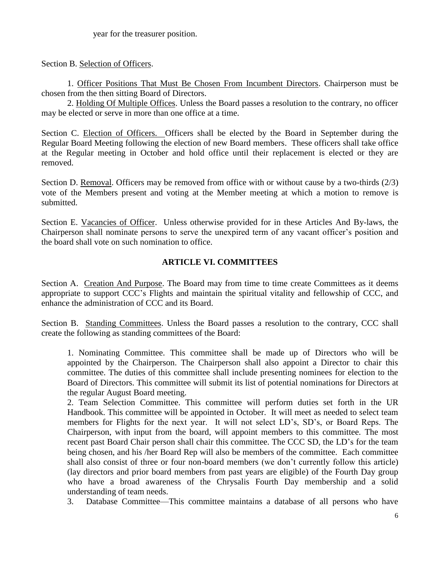year for the treasurer position.

Section B. Selection of Officers.

1. Officer Positions That Must Be Chosen From Incumbent Directors. Chairperson must be chosen from the then sitting Board of Directors.

2. Holding Of Multiple Offices. Unless the Board passes a resolution to the contrary, no officer may be elected or serve in more than one office at a time.

Section C. Election of Officers. Officers shall be elected by the Board in September during the Regular Board Meeting following the election of new Board members. These officers shall take office at the Regular meeting in October and hold office until their replacement is elected or they are removed.

Section D. Removal. Officers may be removed from office with or without cause by a two-thirds (2/3) vote of the Members present and voting at the Member meeting at which a motion to remove is submitted.

Section E. Vacancies of Officer. Unless otherwise provided for in these Articles And By-laws, the Chairperson shall nominate persons to serve the unexpired term of any vacant officer's position and the board shall vote on such nomination to office.

# **ARTICLE VI. COMMITTEES**

Section A. Creation And Purpose. The Board may from time to time create Committees as it deems appropriate to support CCC's Flights and maintain the spiritual vitality and fellowship of CCC, and enhance the administration of CCC and its Board.

Section B. Standing Committees. Unless the Board passes a resolution to the contrary, CCC shall create the following as standing committees of the Board:

1. Nominating Committee. This committee shall be made up of Directors who will be appointed by the Chairperson. The Chairperson shall also appoint a Director to chair this committee. The duties of this committee shall include presenting nominees for election to the Board of Directors. This committee will submit its list of potential nominations for Directors at the regular August Board meeting.

2. Team Selection Committee. This committee will perform duties set forth in the UR Handbook. This committee will be appointed in October. It will meet as needed to select team members for Flights for the next year. It will not select LD's, SD's, or Board Reps. The Chairperson, with input from the board, will appoint members to this committee. The most recent past Board Chair person shall chair this committee. The CCC SD, the LD's for the team being chosen, and his /her Board Rep will also be members of the committee. Each committee shall also consist of three or four non-board members (we don't currently follow this article) (lay directors and prior board members from past years are eligible) of the Fourth Day group who have a broad awareness of the Chrysalis Fourth Day membership and a solid understanding of team needs.

3. Database Committee—This committee maintains a database of all persons who have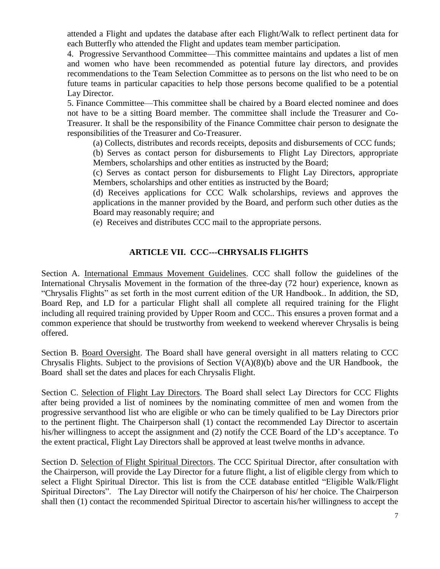attended a Flight and updates the database after each Flight/Walk to reflect pertinent data for each Butterfly who attended the Flight and updates team member participation.

4. Progressive Servanthood Committee—This committee maintains and updates a list of men and women who have been recommended as potential future lay directors, and provides recommendations to the Team Selection Committee as to persons on the list who need to be on future teams in particular capacities to help those persons become qualified to be a potential Lay Director.

5. Finance Committee—This committee shall be chaired by a Board elected nominee and does not have to be a sitting Board member. The committee shall include the Treasurer and Co-Treasurer. It shall be the responsibility of the Finance Committee chair person to designate the responsibilities of the Treasurer and Co-Treasurer.

(a) Collects, distributes and records receipts, deposits and disbursements of CCC funds;

(b) Serves as contact person for disbursements to Flight Lay Directors, appropriate Members, scholarships and other entities as instructed by the Board;

(c) Serves as contact person for disbursements to Flight Lay Directors, appropriate Members, scholarships and other entities as instructed by the Board;

(d) Receives applications for CCC Walk scholarships, reviews and approves the applications in the manner provided by the Board, and perform such other duties as the Board may reasonably require; and

(e) Receives and distributes CCC mail to the appropriate persons.

### **ARTICLE VII. CCC---CHRYSALIS FLIGHTS**

Section A. International Emmaus Movement Guidelines. CCC shall follow the guidelines of the International Chrysalis Movement in the formation of the three-day (72 hour) experience, known as "Chrysalis Flights" as set forth in the most current edition of the UR Handbook.. In addition, the SD, Board Rep, and LD for a particular Flight shall all complete all required training for the Flight including all required training provided by Upper Room and CCC.. This ensures a proven format and a common experience that should be trustworthy from weekend to weekend wherever Chrysalis is being offered.

Section B. Board Oversight. The Board shall have general oversight in all matters relating to CCC Chrysalis Flights. Subject to the provisions of Section  $V(A)(8)(b)$  above and the UR Handbook, the Board shall set the dates and places for each Chrysalis Flight.

Section C. Selection of Flight Lay Directors. The Board shall select Lay Directors for CCC Flights after being provided a list of nominees by the nominating committee of men and women from the progressive servanthood list who are eligible or who can be timely qualified to be Lay Directors prior to the pertinent flight. The Chairperson shall (1) contact the recommended Lay Director to ascertain his/her willingness to accept the assignment and (2) notify the CCE Board of the LD's acceptance. To the extent practical, Flight Lay Directors shall be approved at least twelve months in advance.

Section D. Selection of Flight Spiritual Directors. The CCC Spiritual Director, after consultation with the Chairperson, will provide the Lay Director for a future flight, a list of eligible clergy from which to select a Flight Spiritual Director. This list is from the CCE database entitled "Eligible Walk/Flight Spiritual Directors". The Lay Director will notify the Chairperson of his/ her choice. The Chairperson shall then (1) contact the recommended Spiritual Director to ascertain his/her willingness to accept the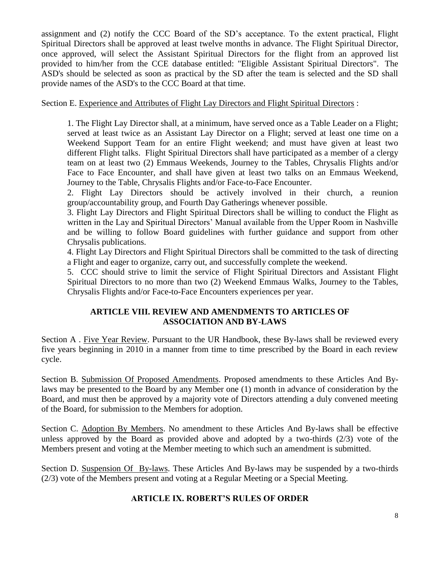assignment and (2) notify the CCC Board of the SD's acceptance. To the extent practical, Flight Spiritual Directors shall be approved at least twelve months in advance. The Flight Spiritual Director, once approved, will select the Assistant Spiritual Directors for the flight from an approved list provided to him/her from the CCE database entitled: "Eligible Assistant Spiritual Directors". The ASD's should be selected as soon as practical by the SD after the team is selected and the SD shall provide names of the ASD's to the CCC Board at that time.

## Section E. Experience and Attributes of Flight Lay Directors and Flight Spiritual Directors :

1. The Flight Lay Director shall, at a minimum, have served once as a Table Leader on a Flight; served at least twice as an Assistant Lay Director on a Flight; served at least one time on a Weekend Support Team for an entire Flight weekend; and must have given at least two different Flight talks. Flight Spiritual Directors shall have participated as a member of a clergy team on at least two (2) Emmaus Weekends, Journey to the Tables, Chrysalis Flights and/or Face to Face Encounter, and shall have given at least two talks on an Emmaus Weekend, Journey to the Table, Chrysalis Flights and/or Face-to-Face Encounter.

2. Flight Lay Directors should be actively involved in their church, a reunion group/accountability group, and Fourth Day Gatherings whenever possible.

3. Flight Lay Directors and Flight Spiritual Directors shall be willing to conduct the Flight as written in the Lay and Spiritual Directors' Manual available from the Upper Room in Nashville and be willing to follow Board guidelines with further guidance and support from other Chrysalis publications.

4. Flight Lay Directors and Flight Spiritual Directors shall be committed to the task of directing a Flight and eager to organize, carry out, and successfully complete the weekend.

5. CCC should strive to limit the service of Flight Spiritual Directors and Assistant Flight Spiritual Directors to no more than two (2) Weekend Emmaus Walks, Journey to the Tables, Chrysalis Flights and/or Face-to-Face Encounters experiences per year.

# **ARTICLE VIII. REVIEW AND AMENDMENTS TO ARTICLES OF ASSOCIATION AND BY-LAWS**

Section A . Five Year Review. Pursuant to the UR Handbook, these By-laws shall be reviewed every five years beginning in 2010 in a manner from time to time prescribed by the Board in each review cycle.

Section B. Submission Of Proposed Amendments. Proposed amendments to these Articles And Bylaws may be presented to the Board by any Member one (1) month in advance of consideration by the Board, and must then be approved by a majority vote of Directors attending a duly convened meeting of the Board, for submission to the Members for adoption.

Section C. Adoption By Members. No amendment to these Articles And By-laws shall be effective unless approved by the Board as provided above and adopted by a two-thirds (2/3) vote of the Members present and voting at the Member meeting to which such an amendment is submitted.

Section D. Suspension Of By-laws. These Articles And By-laws may be suspended by a two-thirds (2/3) vote of the Members present and voting at a Regular Meeting or a Special Meeting.

# **ARTICLE IX. ROBERT'S RULES OF ORDER**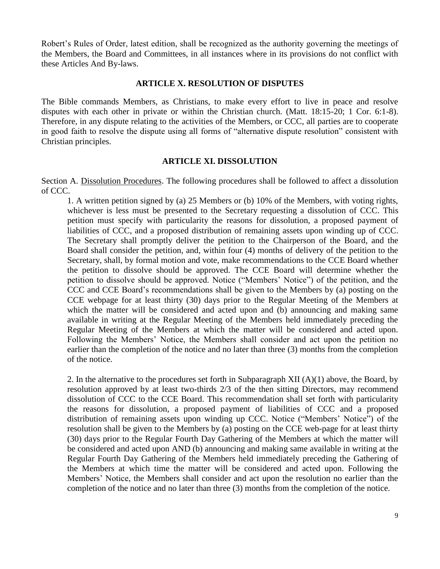Robert's Rules of Order, latest edition, shall be recognized as the authority governing the meetings of the Members, the Board and Committees, in all instances where in its provisions do not conflict with these Articles And By-laws.

#### **ARTICLE X. RESOLUTION OF DISPUTES**

The Bible commands Members, as Christians, to make every effort to live in peace and resolve disputes with each other in private or within the Christian church. (Matt. 18:15-20; 1 Cor. 6:1-8). Therefore, in any dispute relating to the activities of the Members, or CCC, all parties are to cooperate in good faith to resolve the dispute using all forms of "alternative dispute resolution" consistent with Christian principles.

#### **ARTICLE XI. DISSOLUTION**

Section A. Dissolution Procedures. The following procedures shall be followed to affect a dissolution of CCC.

1. A written petition signed by (a) 25 Members or (b) 10% of the Members, with voting rights, whichever is less must be presented to the Secretary requesting a dissolution of CCC. This petition must specify with particularity the reasons for dissolution, a proposed payment of liabilities of CCC, and a proposed distribution of remaining assets upon winding up of CCC. The Secretary shall promptly deliver the petition to the Chairperson of the Board, and the Board shall consider the petition, and, within four (4) months of delivery of the petition to the Secretary, shall, by formal motion and vote, make recommendations to the CCE Board whether the petition to dissolve should be approved. The CCE Board will determine whether the petition to dissolve should be approved. Notice ("Members' Notice") of the petition, and the CCC and CCE Board's recommendations shall be given to the Members by (a) posting on the CCE webpage for at least thirty (30) days prior to the Regular Meeting of the Members at which the matter will be considered and acted upon and (b) announcing and making same available in writing at the Regular Meeting of the Members held immediately preceding the Regular Meeting of the Members at which the matter will be considered and acted upon. Following the Members' Notice, the Members shall consider and act upon the petition no earlier than the completion of the notice and no later than three (3) months from the completion of the notice.

2. In the alternative to the procedures set forth in Subparagraph XII  $(A)(1)$  above, the Board, by resolution approved by at least two-thirds 2/3 of the then sitting Directors, may recommend dissolution of CCC to the CCE Board. This recommendation shall set forth with particularity the reasons for dissolution, a proposed payment of liabilities of CCC and a proposed distribution of remaining assets upon winding up CCC. Notice ("Members' Notice") of the resolution shall be given to the Members by (a) posting on the CCE web-page for at least thirty (30) days prior to the Regular Fourth Day Gathering of the Members at which the matter will be considered and acted upon AND (b) announcing and making same available in writing at the Regular Fourth Day Gathering of the Members held immediately preceding the Gathering of the Members at which time the matter will be considered and acted upon. Following the Members' Notice, the Members shall consider and act upon the resolution no earlier than the completion of the notice and no later than three (3) months from the completion of the notice.